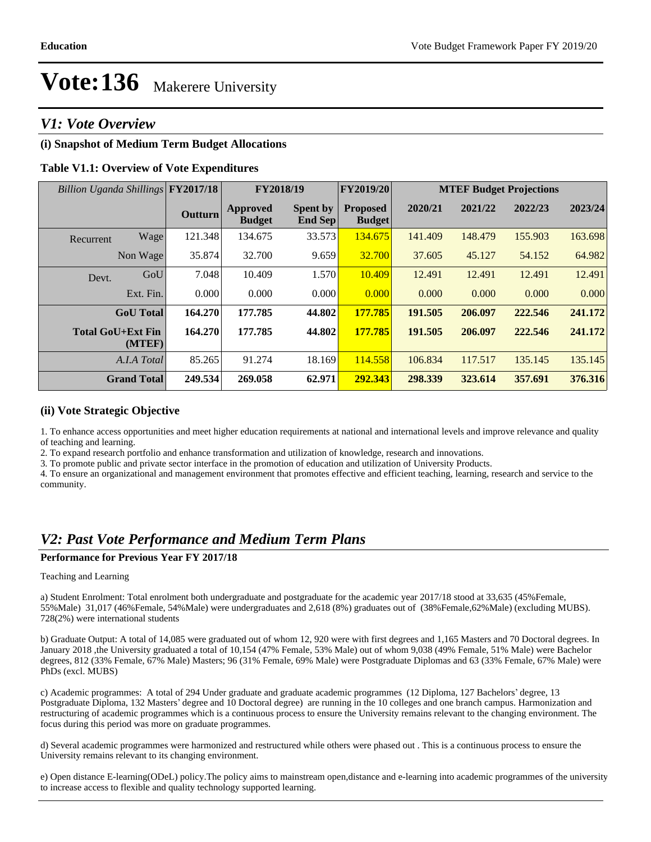### *V1: Vote Overview*

### **(i) Snapshot of Medium Term Budget Allocations**

### **Table V1.1: Overview of Vote Expenditures**

| Billion Uganda Shillings FY2017/18 |                    |                | FY2018/19                        |                                   | <b>FY2019/20</b>                 | <b>MTEF Budget Projections</b> |         |         |         |
|------------------------------------|--------------------|----------------|----------------------------------|-----------------------------------|----------------------------------|--------------------------------|---------|---------|---------|
|                                    |                    | <b>Outturn</b> | <b>Approved</b><br><b>Budget</b> | <b>Spent by</b><br><b>End Sep</b> | <b>Proposed</b><br><b>Budget</b> | 2020/21                        | 2021/22 | 2022/23 | 2023/24 |
| Recurrent                          | Wage               | 121.348        | 134.675                          | 33.573                            | 134.675                          | 141.409                        | 148.479 | 155.903 | 163.698 |
|                                    | Non Wage           | 35.874         | 32.700                           | 9.659                             | 32.700                           | 37.605                         | 45.127  | 54.152  | 64.982  |
| Devt.                              | GoU                | 7.048          | 10.409                           | 1.570                             | 10.409                           | 12.491                         | 12.491  | 12.491  | 12.491  |
|                                    | Ext. Fin.          | 0.000          | 0.000                            | 0.000                             | 0.000                            | 0.000                          | 0.000   | 0.000   | 0.000   |
|                                    | <b>GoU</b> Total   | 164.270        | 177.785                          | 44.802                            | 177.785                          | 191.505                        | 206.097 | 222.546 | 241.172 |
| <b>Total GoU+Ext Fin</b>           | (MTEF)             | 164.270        | 177.785                          | 44.802                            | 177.785                          | 191.505                        | 206.097 | 222.546 | 241.172 |
|                                    | A.I.A Total        | 85.265         | 91.274                           | 18.169                            | 114.558                          | 106.834                        | 117.517 | 135.145 | 135.145 |
|                                    | <b>Grand Total</b> | 249.534        | 269.058                          | 62.971                            | 292.343                          | 298.339                        | 323.614 | 357.691 | 376.316 |

### **(ii) Vote Strategic Objective**

1. To enhance access opportunities and meet higher education requirements at national and international levels and improve relevance and quality of teaching and learning.

2. To expand research portfolio and enhance transformation and utilization of knowledge, research and innovations.

3. To promote public and private sector interface in the promotion of education and utilization of University Products.

4. To ensure an organizational and management environment that promotes effective and efficient teaching, learning, research and service to the community.

### *V2: Past Vote Performance and Medium Term Plans*

### **Performance for Previous Year FY 2017/18**

#### Teaching and Learning

a) Student Enrolment: Total enrolment both undergraduate and postgraduate for the academic year 2017/18 stood at 33,635 (45%Female, 55%Male) 31,017 (46%Female, 54%Male) were undergraduates and 2,618 (8%) graduates out of (38%Female,62%Male) (excluding MUBS). 728(2%) were international students

b) Graduate Output: A total of 14,085 were graduated out of whom 12, 920 were with first degrees and 1,165 Masters and 70 Doctoral degrees. In January 2018 ,the University graduated a total of 10,154 (47% Female, 53% Male) out of whom 9,038 (49% Female, 51% Male) were Bachelor degrees, 812 (33% Female, 67% Male) Masters; 96 (31% Female, 69% Male) were Postgraduate Diplomas and 63 (33% Female, 67% Male) were PhDs (excl. MUBS)

c) Academic programmes: A total of 294 Under graduate and graduate academic programmes (12 Diploma, 127 Bachelors' degree, 13 Postgraduate Diploma, 132 Masters' degree and 10 Doctoral degree) are running in the 10 colleges and one branch campus. Harmonization and restructuring of academic programmes which is a continuous process to ensure the University remains relevant to the changing environment. The focus during this period was more on graduate programmes.

d) Several academic programmes were harmonized and restructured while others were phased out . This is a continuous process to ensure the University remains relevant to its changing environment.

e) Open distance E-learning(ODeL) policy.The policy aims to mainstream open,distance and e-learning into academic programmes of the university to increase access to flexible and quality technology supported learning.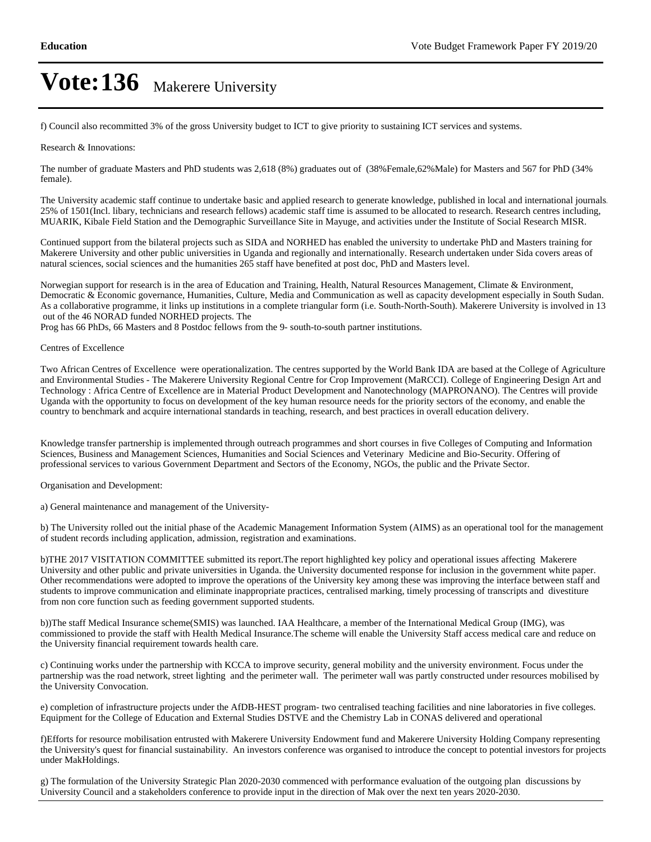f) Council also recommitted 3% of the gross University budget to ICT to give priority to sustaining ICT services and systems.

#### Research & Innovations:

The number of graduate Masters and PhD students was 2,618 (8%) graduates out of (38%Female,62%Male) for Masters and 567 for PhD (34% female).

The University academic staff continue to undertake basic and applied research to generate knowledge, published in local and international journals. 25% of 1501(Incl. libary, technicians and research fellows) academic staff time is assumed to be allocated to research. Research centres including, MUARIK, Kibale Field Station and the Demographic Surveillance Site in Mayuge, and activities under the Institute of Social Research MISR.

Continued support from the bilateral projects such as SIDA and NORHED has enabled the university to undertake PhD and Masters training for Makerere University and other public universities in Uganda and regionally and internationally. Research undertaken under Sida covers areas of natural sciences, social sciences and the humanities 265 staff have benefited at post doc, PhD and Masters level.

Norwegian support for research is in the area of Education and Training, Health, Natural Resources Management, Climate & Environment, Democratic & Economic governance, Humanities, Culture, Media and Communication as well as capacity development especially in South Sudan. As a collaborative programme, it links up institutions in a complete triangular form (i.e. South-North-South). Makerere University is involved in 13 out of the 46 NORAD funded NORHED projects. The

Prog has 66 PhDs, 66 Masters and 8 Postdoc fellows from the 9- south-to-south partner institutions.

#### Centres of Excellence

Two African Centres of Excellence were operationalization. The centres supported by the World Bank IDA are based at the College of Agriculture and Environmental Studies - The Makerere University Regional Centre for Crop Improvement (MaRCCI). College of Engineering Design Art and Technology : Africa Centre of Excellence are in Material Product Development and Nanotechnology (MAPRONANO). The Centres will provide Uganda with the opportunity to focus on development of the key human resource needs for the priority sectors of the economy, and enable the country to benchmark and acquire international standards in teaching, research, and best practices in overall education delivery.

Knowledge transfer partnership is implemented through outreach programmes and short courses in five Colleges of Computing and Information Sciences, Business and Management Sciences, Humanities and Social Sciences and Veterinary Medicine and Bio-Security. Offering of professional services to various Government Department and Sectors of the Economy, NGOs, the public and the Private Sector.

Organisation and Development:

a) General maintenance and management of the University-

b) The University rolled out the initial phase of the Academic Management Information System (AIMS) as an operational tool for the management of student records including application, admission, registration and examinations.

b)THE 2017 VISITATION COMMITTEE submitted its report.The report highlighted key policy and operational issues affecting Makerere University and other public and private universities in Uganda. the University documented response for inclusion in the government white paper. Other recommendations were adopted to improve the operations of the University key among these was improving the interface between staff and students to improve communication and eliminate inappropriate practices, centralised marking, timely processing of transcripts and divestiture from non core function such as feeding government supported students.

b))The staff Medical Insurance scheme(SMIS) was launched. IAA Healthcare, a member of the International Medical Group (IMG), was commissioned to provide the staff with Health Medical Insurance.The scheme will enable the University Staff access medical care and reduce on the University financial requirement towards health care.

c) Continuing works under the partnership with KCCA to improve security, general mobility and the university environment. Focus under the partnership was the road network, street lighting and the perimeter wall. The perimeter wall was partly constructed under resources mobilised by the University Convocation.

e) completion of infrastructure projects under the AfDB-HEST program- two centralised teaching facilities and nine laboratories in five colleges. Equipment for the College of Education and External Studies DSTVE and the Chemistry Lab in CONAS delivered and operational

f)Efforts for resource mobilisation entrusted with Makerere University Endowment fund and Makerere University Holding Company representing the University's quest for financial sustainability. An investors conference was organised to introduce the concept to potential investors for projects under MakHoldings.

g) The formulation of the University Strategic Plan 2020-2030 commenced with performance evaluation of the outgoing plan discussions by University Council and a stakeholders conference to provide input in the direction of Mak over the next ten years 2020-2030.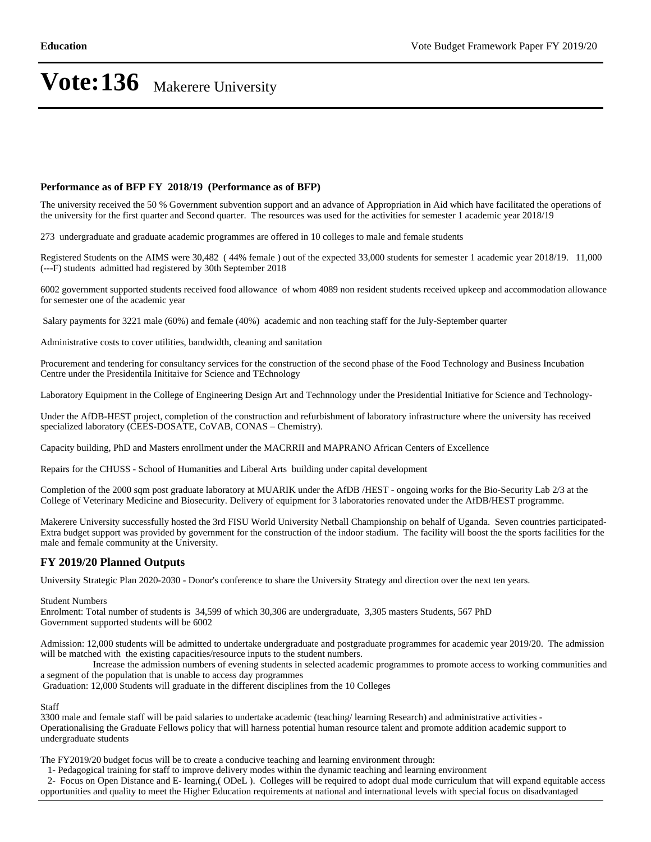#### **Performance as of BFP FY 2018/19 (Performance as of BFP)**

The university received the 50 % Government subvention support and an advance of Appropriation in Aid which have facilitated the operations of the university for the first quarter and Second quarter. The resources was used for the activities for semester 1 academic year 2018/19

273 undergraduate and graduate academic programmes are offered in 10 colleges to male and female students

Registered Students on the AIMS were 30,482 ( 44% female ) out of the expected 33,000 students for semester 1 academic year 2018/19. 11,000 (---F) students admitted had registered by 30th September 2018

6002 government supported students received food allowance of whom 4089 non resident students received upkeep and accommodation allowance for semester one of the academic year

Salary payments for 3221 male (60%) and female (40%) academic and non teaching staff for the July-September quarter

Administrative costs to cover utilities, bandwidth, cleaning and sanitation

Procurement and tendering for consultancy services for the construction of the second phase of the Food Technology and Business Incubation Centre under the Presidentila Inititaive for Science and TEchnology

Laboratory Equipment in the College of Engineering Design Art and Technnology under the Presidential Initiative for Science and Technology-

Under the AfDB-HEST project, completion of the construction and refurbishment of laboratory infrastructure where the university has received specialized laboratory (CEES-DOSATE, CoVAB, CONAS - Chemistry).

Capacity building, PhD and Masters enrollment under the MACRRII and MAPRANO African Centers of Excellence

Repairs for the CHUSS - School of Humanities and Liberal Arts building under capital development

Completion of the 2000 sqm post graduate laboratory at MUARIK under the AfDB /HEST - ongoing works for the Bio-Security Lab 2/3 at the College of Veterinary Medicine and Biosecurity. Delivery of equipment for 3 laboratories renovated under the AfDB/HEST programme.

Makerere University successfully hosted the 3rd FISU World University Netball Championship on behalf of Uganda. Seven countries participated-Extra budget support was provided by government for the construction of the indoor stadium. The facility will boost the the sports facilities for the male and female community at the University.

#### **FY 2019/20 Planned Outputs**

University Strategic Plan 2020-2030 - Donor's conference to share the University Strategy and direction over the next ten years.

Student Numbers

Enrolment: Total number of students is 34,599 of which 30,306 are undergraduate, 3,305 masters Students, 567 PhD Government supported students will be 6002

Admission: 12,000 students will be admitted to undertake undergraduate and postgraduate programmes for academic year 2019/20. The admission will be matched with the existing capacities/resource inputs to the student numbers.

 Increase the admission numbers of evening students in selected academic programmes to promote access to working communities and a segment of the population that is unable to access day programmes

Graduation: 12,000 Students will graduate in the different disciplines from the 10 Colleges

Staff

3300 male and female staff will be paid salaries to undertake academic (teaching/ learning Research) and administrative activities - Operationalising the Graduate Fellows policy that will harness potential human resource talent and promote addition academic support to undergraduate students

The FY2019/20 budget focus will be to create a conducive teaching and learning environment through:

1- Pedagogical training for staff to improve delivery modes within the dynamic teaching and learning environment

 2- Focus on Open Distance and E- learning,( ODeL ). Colleges will be required to adopt dual mode curriculum that will expand equitable access opportunities and quality to meet the Higher Education requirements at national and international levels with special focus on disadvantaged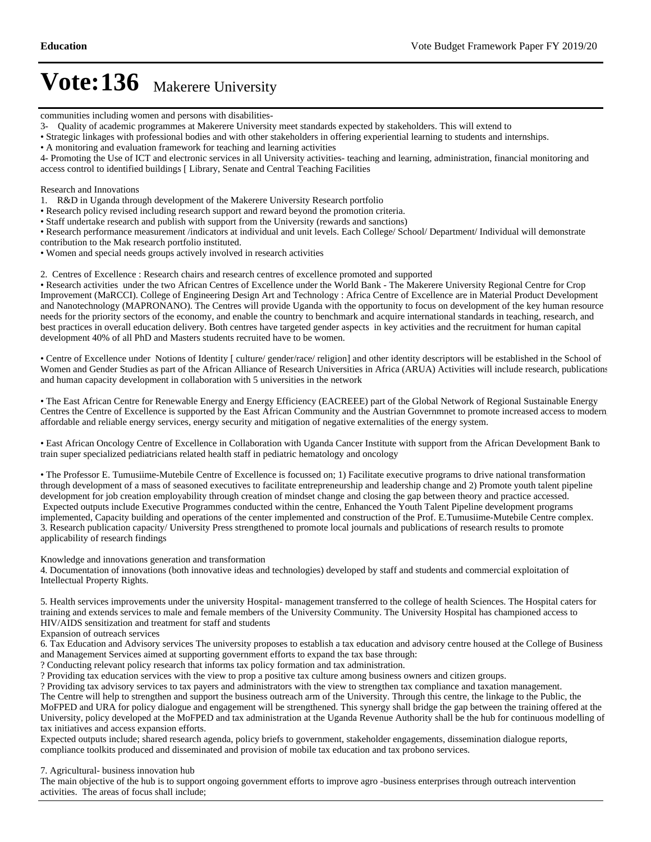communities including women and persons with disabilities-

3- Quality of academic programmes at Makerere University meet standards expected by stakeholders. This will extend to

Strategic linkages with professional bodies and with other stakeholders in offering experiential learning to students and internships.

A monitoring and evaluation framework for teaching and learning activities

4- Promoting the Use of ICT and electronic services in all University activities- teaching and learning, administration, financial monitoring and access control to identified buildings [ Library, Senate and Central Teaching Facilities

Research and Innovations

- 1. R&D in Uganda through development of the Makerere University Research portfolio
- Research policy revised including research support and reward beyond the promotion criteria.
- Staff undertake research and publish with support from the University (rewards and sanctions)

Research performance measurement /indicators at individual and unit levels. Each College/ School/ Department/ Individual will demonstrate contribution to the Mak research portfolio instituted.

- Women and special needs groups actively involved in research activities
- 2. Centres of Excellence : Research chairs and research centres of excellence promoted and supported

Research activities under the two African Centres of Excellence under the World Bank - The Makerere University Regional Centre for Crop Improvement (MaRCCI). College of Engineering Design Art and Technology : Africa Centre of Excellence are in Material Product Development and Nanotechnology (MAPRONANO). The Centres will provide Uganda with the opportunity to focus on development of the key human resource needs for the priority sectors of the economy, and enable the country to benchmark and acquire international standards in teaching, research, and best practices in overall education delivery. Both centres have targeted gender aspects in key activities and the recruitment for human capital development 40% of all PhD and Masters students recruited have to be women.

Centre of Excellence under Notions of Identity [ culture/ gender/race/ religion] and other identity descriptors will be established in the School of Women and Gender Studies as part of the African Alliance of Research Universities in Africa (ARUA) Activities will include research, publications and human capacity development in collaboration with 5 universities in the network

The East African Centre for Renewable Energy and Energy Efficiency (EACREEE) part of the Global Network of Regional Sustainable Energy Centres the Centre of Excellence is supported by the East African Community and the Austrian Governmnet to promote increased access to modern, affordable and reliable energy services, energy security and mitigation of negative externalities of the energy system.

East African Oncology Centre of Excellence in Collaboration with Uganda Cancer Institute with support from the African Development Bank to train super specialized pediatricians related health staff in pediatric hematology and oncology

The Professor E. Tumusiime-Mutebile Centre of Excellence is focussed on; 1) Facilitate executive programs to drive national transformation through development of a mass of seasoned executives to facilitate entrepreneurship and leadership change and 2) Promote youth talent pipeline development for job creation employability through creation of mindset change and closing the gap between theory and practice accessed. Expected outputs include Executive Programmes conducted within the centre, Enhanced the Youth Talent Pipeline development programs implemented, Capacity building and operations of the center implemented and construction of the Prof. E.Tumusiime-Mutebile Centre complex. 3. Research publication capacity/ University Press strengthened to promote local journals and publications of research results to promote applicability of research findings

Knowledge and innovations generation and transformation

4. Documentation of innovations (both innovative ideas and technologies) developed by staff and students and commercial exploitation of Intellectual Property Rights.

5. Health services improvements under the university Hospital- management transferred to the college of health Sciences. The Hospital caters for training and extends services to male and female members of the University Community. The University Hospital has championed access to HIV/AIDS sensitization and treatment for staff and students

Expansion of outreach services

6. Tax Education and Advisory services The university proposes to establish a tax education and advisory centre housed at the College of Business and Management Services aimed at supporting government efforts to expand the tax base through:

? Conducting relevant policy research that informs tax policy formation and tax administration.

? Providing tax education services with the view to prop a positive tax culture among business owners and citizen groups.

? Providing tax advisory services to tax payers and administrators with the view to strengthen tax compliance and taxation management. The Centre will help to strengthen and support the business outreach arm of the University. Through this centre, the linkage to the Public, the MoFPED and URA for policy dialogue and engagement will be strengthened. This synergy shall bridge the gap between the training offered at the University, policy developed at the MoFPED and tax administration at the Uganda Revenue Authority shall be the hub for continuous modelling of

tax initiatives and access expansion efforts.

Expected outputs include; shared research agenda, policy briefs to government, stakeholder engagements, dissemination dialogue reports, compliance toolkits produced and disseminated and provision of mobile tax education and tax probono services.

7. Agricultural- business innovation hub

The main objective of the hub is to support ongoing government efforts to improve agro -business enterprises through outreach intervention activities. The areas of focus shall include;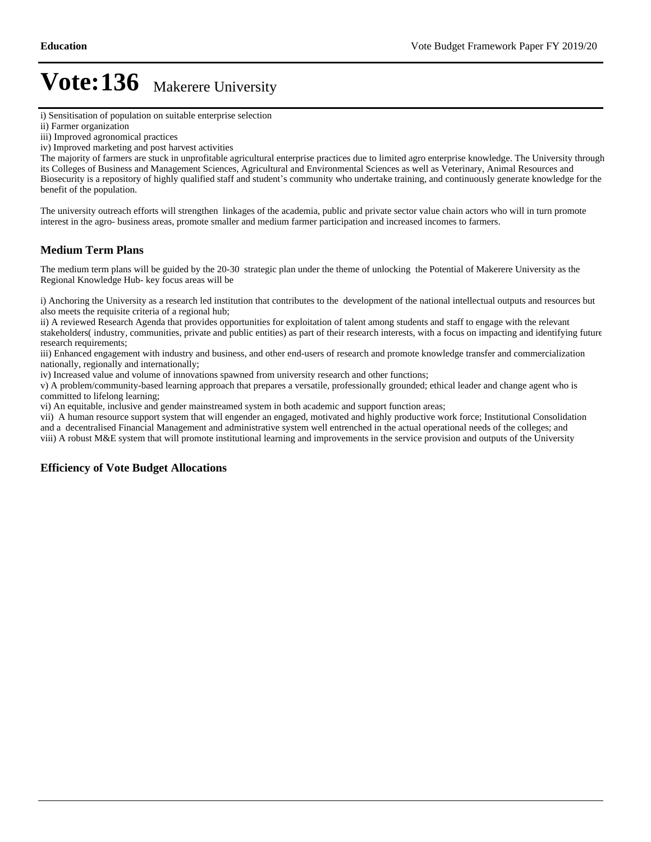i) Sensitisation of population on suitable enterprise selection

iii) Improved agronomical practices

iv) Improved marketing and post harvest activities

The majority of farmers are stuck in unprofitable agricultural enterprise practices due to limited agro enterprise knowledge. The University through its Colleges of Business and Management Sciences, Agricultural and Environmental Sciences as well as Veterinary, Animal Resources and Biosecurity is a repository of highly qualified staff and student's community who undertake training, and continuously generate knowledge for the benefit of the population.

The university outreach efforts will strengthen linkages of the academia, public and private sector value chain actors who will in turn promote interest in the agro- business areas, promote smaller and medium farmer participation and increased incomes to farmers.

### **Medium Term Plans**

The medium term plans will be guided by the 20-30 strategic plan under the theme of unlocking the Potential of Makerere University as the Regional Knowledge Hub- key focus areas will be

i) Anchoring the University as a research led institution that contributes to the development of the national intellectual outputs and resources but also meets the requisite criteria of a regional hub;

ii) A reviewed Research Agenda that provides opportunities for exploitation of talent among students and staff to engage with the relevant stakeholders( industry, communities, private and public entities) as part of their research interests, with a focus on impacting and identifying future research requirements;

iii) Enhanced engagement with industry and business, and other end-users of research and promote knowledge transfer and commercialization nationally, regionally and internationally;

iv) Increased value and volume of innovations spawned from university research and other functions;

v) A problem/community-based learning approach that prepares a versatile, professionally grounded; ethical leader and change agent who is committed to lifelong learning;

vi) An equitable, inclusive and gender mainstreamed system in both academic and support function areas;

vii) A human resource support system that will engender an engaged, motivated and highly productive work force; Institutional Consolidation and a decentralised Financial Management and administrative system well entrenched in the actual operational needs of the colleges; and viii) A robust M&E system that will promote institutional learning and improvements in the service provision and outputs of the University

### **Efficiency of Vote Budget Allocations**

ii) Farmer organization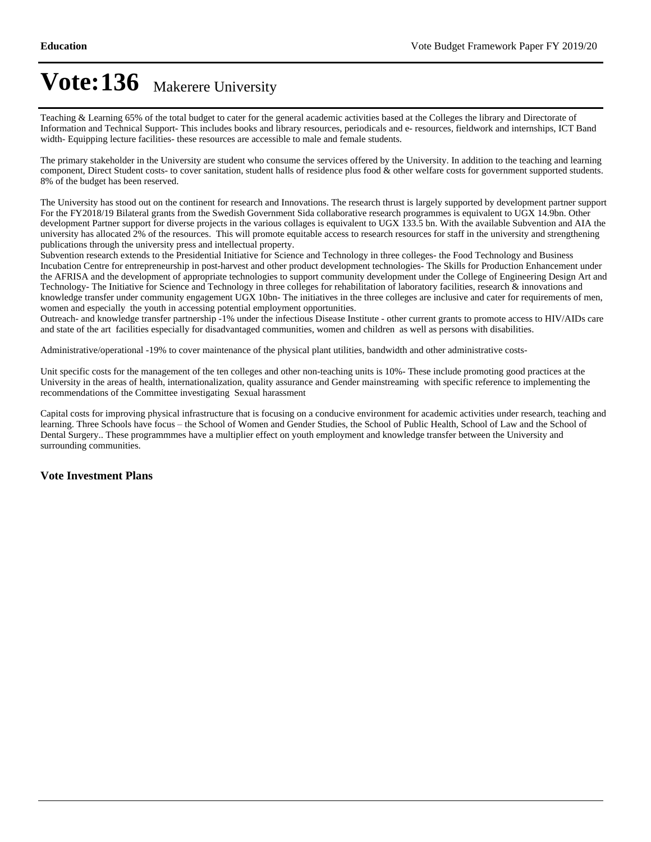Teaching & Learning 65% of the total budget to cater for the general academic activities based at the Colleges the library and Directorate of Information and Technical Support- This includes books and library resources, periodicals and e- resources, fieldwork and internships, ICT Band width- Equipping lecture facilities- these resources are accessible to male and female students.

The primary stakeholder in the University are student who consume the services offered by the University. In addition to the teaching and learning component, Direct Student costs- to cover sanitation, student halls of residence plus food & other welfare costs for government supported students. 8% of the budget has been reserved.

The University has stood out on the continent for research and Innovations. The research thrust is largely supported by development partner support. For the FY2018/19 Bilateral grants from the Swedish Government Sida collaborative research programmes is equivalent to UGX 14.9bn. Other development Partner support for diverse projects in the various collages is equivalent to UGX 133.5 bn. With the available Subvention and AIA the university has allocated 2% of the resources. This will promote equitable access to research resources for staff in the university and strengthening publications through the university press and intellectual property.

Subvention research extends to the Presidential Initiative for Science and Technology in three colleges- the Food Technology and Business Incubation Centre for entrepreneurship in post-harvest and other product development technologies- The Skills for Production Enhancement under the AFRISA and the development of appropriate technologies to support community development under the College of Engineering Design Art and Technology- The Initiative for Science and Technology in three colleges for rehabilitation of laboratory facilities, research & innovations and knowledge transfer under community engagement UGX 10bn- The initiatives in the three colleges are inclusive and cater for requirements of men, women and especially the youth in accessing potential employment opportunities.

Outreach- and knowledge transfer partnership -1% under the infectious Disease Institute - other current grants to promote access to HIV/AIDs care and state of the art facilities especially for disadvantaged communities, women and children as well as persons with disabilities.

Administrative/operational -19% to cover maintenance of the physical plant utilities, bandwidth and other administrative costs-

Unit specific costs for the management of the ten colleges and other non-teaching units is 10%- These include promoting good practices at the University in the areas of health, internationalization, quality assurance and Gender mainstreaming with specific reference to implementing the recommendations of the Committee investigating Sexual harassment

Capital costs for improving physical infrastructure that is focusing on a conducive environment for academic activities under research, teaching and learning. Three Schools have focus – the School of Women and Gender Studies, the School of Public Health, School of Law and the School of Dental Surgery.. These programmmes have a multiplier effect on youth employment and knowledge transfer between the University and surrounding communities.

#### **Vote Investment Plans**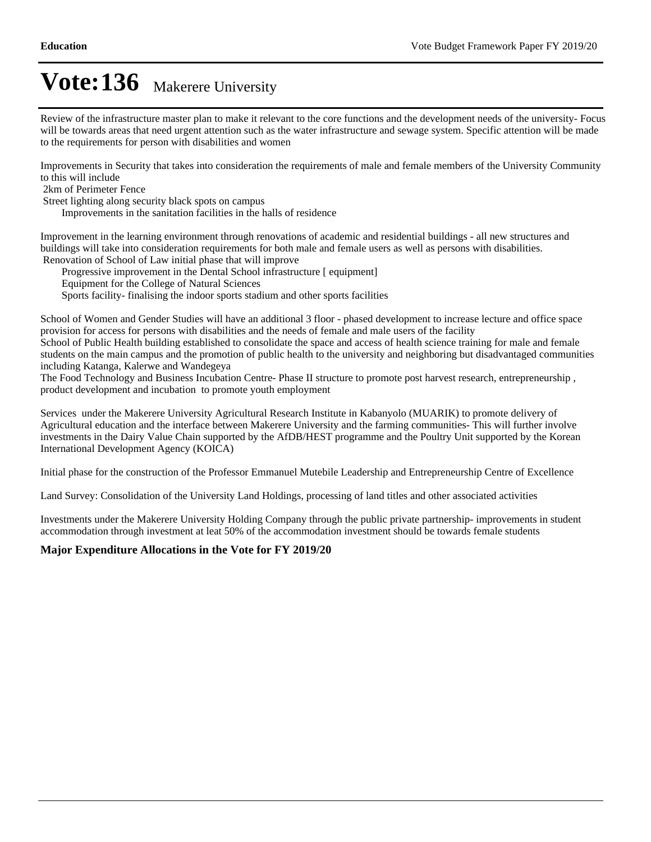Review of the infrastructure master plan to make it relevant to the core functions and the development needs of the university- Focus will be towards areas that need urgent attention such as the water infrastructure and sewage system. Specific attention will be made to the requirements for person with disabilities and women

Improvements in Security that takes into consideration the requirements of male and female members of the University Community to this will include

2km of Perimeter Fence

Street lighting along security black spots on campus

Improvements in the sanitation facilities in the halls of residence

Improvement in the learning environment through renovations of academic and residential buildings - all new structures and buildings will take into consideration requirements for both male and female users as well as persons with disabilities. Renovation of School of Law initial phase that will improve

Progressive improvement in the Dental School infrastructure [ equipment]

Equipment for the College of Natural Sciences

Sports facility- finalising the indoor sports stadium and other sports facilities

School of Women and Gender Studies will have an additional 3 floor - phased development to increase lecture and office space provision for access for persons with disabilities and the needs of female and male users of the facility

School of Public Health building established to consolidate the space and access of health science training for male and female students on the main campus and the promotion of public health to the university and neighboring but disadvantaged communities including Katanga, Kalerwe and Wandegeya

The Food Technology and Business Incubation Centre- Phase II structure to promote post harvest research, entrepreneurship , product development and incubation to promote youth employment

Services under the Makerere University Agricultural Research Institute in Kabanyolo (MUARIK) to promote delivery of Agricultural education and the interface between Makerere University and the farming communities- This will further involve investments in the Dairy Value Chain supported by the AfDB/HEST programme and the Poultry Unit supported by the Korean International Development Agency (KOICA)

Initial phase for the construction of the Professor Emmanuel Mutebile Leadership and Entrepreneurship Centre of Excellence

Land Survey: Consolidation of the University Land Holdings, processing of land titles and other associated activities

Investments under the Makerere University Holding Company through the public private partnership- improvements in student accommodation through investment at leat 50% of the accommodation investment should be towards female students

### **Major Expenditure Allocations in the Vote for FY 2019/20**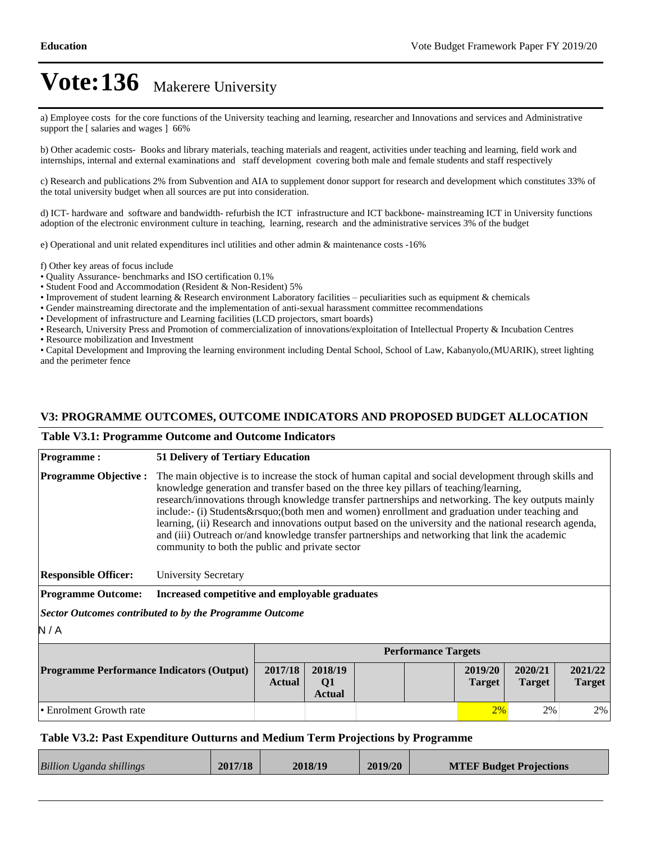a) Employee costs for the core functions of the University teaching and learning, researcher and Innovations and services and Administrative support the [ salaries and wages ] 66%

b) Other academic costs- Books and library materials, teaching materials and reagent, activities under teaching and learning, field work and internships, internal and external examinations and staff development covering both male and female students and staff respectively

c) Research and publications 2% from Subvention and AIA to supplement donor support for research and development which constitutes 33% of the total university budget when all sources are put into consideration.

d) ICT- hardware and software and bandwidth- refurbish the ICT infrastructure and ICT backbone- mainstreaming ICT in University functions adoption of the electronic environment culture in teaching, learning, research and the administrative services 3% of the budget

e) Operational and unit related expenditures incl utilities and other admin & maintenance costs -16%

- f) Other key areas of focus include
- Quality Assurance- benchmarks and ISO certification 0.1%
- Student Food and Accommodation (Resident & Non-Resident) 5%
- $\cdot$  Improvement of student learning & Research environment Laboratory facilities  $-$  peculiarities such as equipment & chemicals
- Gender mainstreaming directorate and the implementation of anti-sexual harassment committee recommendations
- Development of infrastructure and Learning facilities (LCD projectors, smart boards)

Research, University Press and Promotion of commercialization of innovations/exploitation of Intellectual Property & Incubation Centres

Resource mobilization and Investment

Capital Development and Improving the learning environment including Dental School, School of Law, Kabanyolo,(MUARIK), street lighting and the perimeter fence

### **V3: PROGRAMME OUTCOMES, OUTCOME INDICATORS AND PROPOSED BUDGET ALLOCATION**

#### **Table V3.1: Programme Outcome and Outcome Indicators**

| <b>Programme:</b>                                       |                                                                                                                                                                                                                                                                                                                                                                                                                                                                                                                                                                                                                                                                                | <b>51 Delivery of Tertiary Education</b>       |  |  |                            |                          |                          |    |
|---------------------------------------------------------|--------------------------------------------------------------------------------------------------------------------------------------------------------------------------------------------------------------------------------------------------------------------------------------------------------------------------------------------------------------------------------------------------------------------------------------------------------------------------------------------------------------------------------------------------------------------------------------------------------------------------------------------------------------------------------|------------------------------------------------|--|--|----------------------------|--------------------------|--------------------------|----|
| <b>Programme Objective:</b>                             | The main objective is to increase the stock of human capital and social development through skills and<br>knowledge generation and transfer based on the three key pillars of teaching/learning,<br>research/innovations through knowledge transfer partnerships and networking. The key outputs mainly<br>include:- (i) Students & rsquo; (both men and women) enrollment and graduation under teaching and<br>learning, (ii) Research and innovations output based on the university and the national research agenda,<br>and (iii) Outreach or/and knowledge transfer partnerships and networking that link the academic<br>community to both the public and private sector |                                                |  |  |                            |                          |                          |    |
| <b>Responsible Officer:</b>                             | <b>University Secretary</b>                                                                                                                                                                                                                                                                                                                                                                                                                                                                                                                                                                                                                                                    |                                                |  |  |                            |                          |                          |    |
| <b>Programme Outcome:</b>                               |                                                                                                                                                                                                                                                                                                                                                                                                                                                                                                                                                                                                                                                                                | Increased competitive and employable graduates |  |  |                            |                          |                          |    |
| Sector Outcomes contributed to by the Programme Outcome |                                                                                                                                                                                                                                                                                                                                                                                                                                                                                                                                                                                                                                                                                |                                                |  |  |                            |                          |                          |    |
| N/A                                                     |                                                                                                                                                                                                                                                                                                                                                                                                                                                                                                                                                                                                                                                                                |                                                |  |  |                            |                          |                          |    |
|                                                         |                                                                                                                                                                                                                                                                                                                                                                                                                                                                                                                                                                                                                                                                                |                                                |  |  | <b>Performance Targets</b> |                          |                          |    |
| <b>Programme Performance Indicators (Output)</b>        | 2017/18<br><b>Actual</b>                                                                                                                                                                                                                                                                                                                                                                                                                                                                                                                                                                                                                                                       | 2018/19<br>Q <sub>1</sub><br><b>Actual</b>     |  |  | 2019/20<br><b>Target</b>   | 2020/21<br><b>Target</b> | 2021/22<br><b>Target</b> |    |
| • Enrolment Growth rate                                 |                                                                                                                                                                                                                                                                                                                                                                                                                                                                                                                                                                                                                                                                                |                                                |  |  |                            | 2%                       | 2%                       | 2% |

#### **Table V3.2: Past Expenditure Outturns and Medium Term Projections by Programme**

| Billion Uganda shillings | 2017/18 | 2018/19 | 2019/20 | <b>MTEF Budget Projections</b> |
|--------------------------|---------|---------|---------|--------------------------------|
|                          |         |         |         |                                |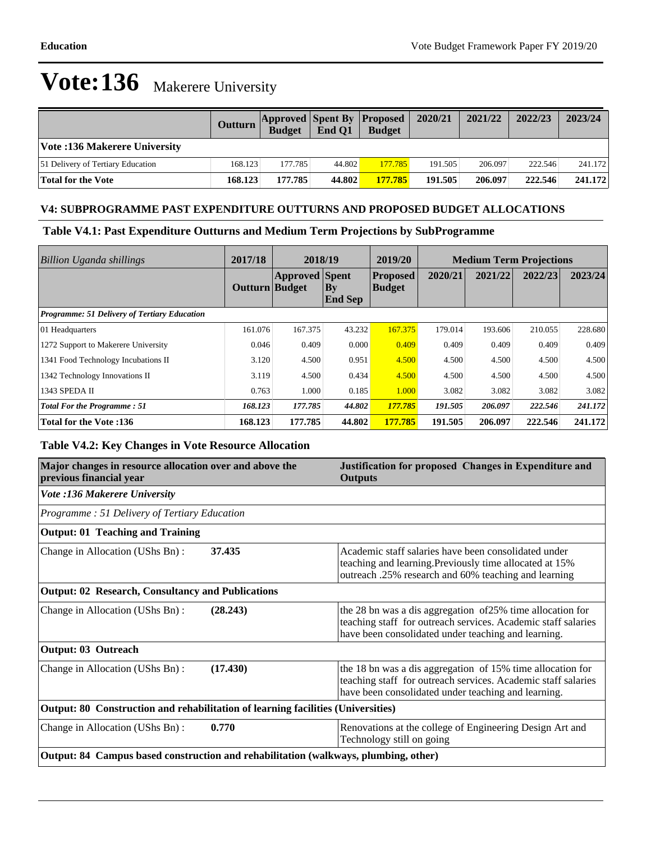|                                     | Outturn | <b>Budget</b> | End O1 | <b>Approved Spent By Proposed</b><br><b>Budget</b> | 2020/21 | 2021/22 | 2022/23 | 2023/24 |
|-------------------------------------|---------|---------------|--------|----------------------------------------------------|---------|---------|---------|---------|
| Vote :136 Makerere University       |         |               |        |                                                    |         |         |         |         |
| [51 Delivery of Tertiary Education] | 168.123 | 177.785       | 44.802 | 177.785                                            | 191.505 | 206.097 | 222.546 | 241.172 |
| <b>Total for the Vote</b>           | 168.123 | 177.785       | 44.802 | 177.785                                            | 191.505 | 206.097 | 222.546 | 241.172 |

### **V4: SUBPROGRAMME PAST EXPENDITURE OUTTURNS AND PROPOSED BUDGET ALLOCATIONS**

### **Table V4.1: Past Expenditure Outturns and Medium Term Projections by SubProgramme**

| Billion Uganda shillings                     | 2017/18        | 2018/19               |                                 | 2019/20                          |         |         | <b>Medium Term Projections</b> |         |
|----------------------------------------------|----------------|-----------------------|---------------------------------|----------------------------------|---------|---------|--------------------------------|---------|
|                                              | Outturn Budget | <b>Approved</b> Spent | $\mathbf{By}$<br><b>End Sep</b> | <b>Proposed</b><br><b>Budget</b> | 2020/21 | 2021/22 | 2022/23                        | 2023/24 |
| Programme: 51 Delivery of Tertiary Education |                |                       |                                 |                                  |         |         |                                |         |
| 01 Headquarters                              | 161.076        | 167.375               | 43.232                          | 167.375                          | 179.014 | 193.606 | 210.055                        | 228.680 |
| 1272 Support to Makerere University          | 0.046          | 0.409                 | 0.000                           | 0.409                            | 0.409   | 0.409   | 0.409                          | 0.409   |
| 1341 Food Technology Incubations II          | 3.120          | 4.500                 | 0.951                           | 4.500                            | 4.500   | 4.500   | 4.500                          | 4.500   |
| 1342 Technology Innovations II               | 3.119          | 4.500                 | 0.434                           | 4.500                            | 4.500   | 4.500   | 4.500                          | 4.500   |
| 1343 SPEDA II                                | 0.763          | 1.000                 | 0.185                           | 1.000                            | 3.082   | 3.082   | 3.082                          | 3.082   |
| <b>Total For the Programme: 51</b>           | 168.123        | 177.785               | 44.802                          | 177.785                          | 191.505 | 206.097 | 222.546                        | 241.172 |
| <b>Total for the Vote:136</b>                | 168.123        | 177.785               | 44.802                          | 177.785                          | 191.505 | 206.097 | 222.546                        | 241.172 |

### **Table V4.2: Key Changes in Vote Resource Allocation**

| Major changes in resource allocation over and above the<br>previous financial year  | Justification for proposed Changes in Expenditure and<br><b>Outputs</b>                                                                                                            |  |  |  |  |  |
|-------------------------------------------------------------------------------------|------------------------------------------------------------------------------------------------------------------------------------------------------------------------------------|--|--|--|--|--|
| <b>Vote :136 Makerere University</b>                                                |                                                                                                                                                                                    |  |  |  |  |  |
| Programme: 51 Delivery of Tertiary Education                                        |                                                                                                                                                                                    |  |  |  |  |  |
| <b>Output: 01 Teaching and Training</b>                                             |                                                                                                                                                                                    |  |  |  |  |  |
| 37.435<br>Change in Allocation (UShs Bn):                                           | Academic staff salaries have been consolidated under<br>teaching and learning. Previously time allocated at 15%<br>outreach .25% research and 60% teaching and learning            |  |  |  |  |  |
| <b>Output: 02 Research, Consultancy and Publications</b>                            |                                                                                                                                                                                    |  |  |  |  |  |
| Change in Allocation (UShs Bn):<br>(28.243)                                         | the 28 bn was a dis aggregation of 25% time allocation for<br>teaching staff for outreach services. Academic staff salaries<br>have been consolidated under teaching and learning. |  |  |  |  |  |
| <b>Output: 03 Outreach</b>                                                          |                                                                                                                                                                                    |  |  |  |  |  |
| Change in Allocation (UShs Bn):<br>(17.430)                                         | the 18 bn was a dis aggregation of 15% time allocation for<br>teaching staff for outreach services. Academic staff salaries<br>have been consolidated under teaching and learning. |  |  |  |  |  |
| Output: 80 Construction and rehabilitation of learning facilities (Universities)    |                                                                                                                                                                                    |  |  |  |  |  |
| 0.770<br>Change in Allocation (UShs Bn):                                            | Renovations at the college of Engineering Design Art and<br>Technology still on going                                                                                              |  |  |  |  |  |
| Output: 84 Campus based construction and rehabilitation (walkways, plumbing, other) |                                                                                                                                                                                    |  |  |  |  |  |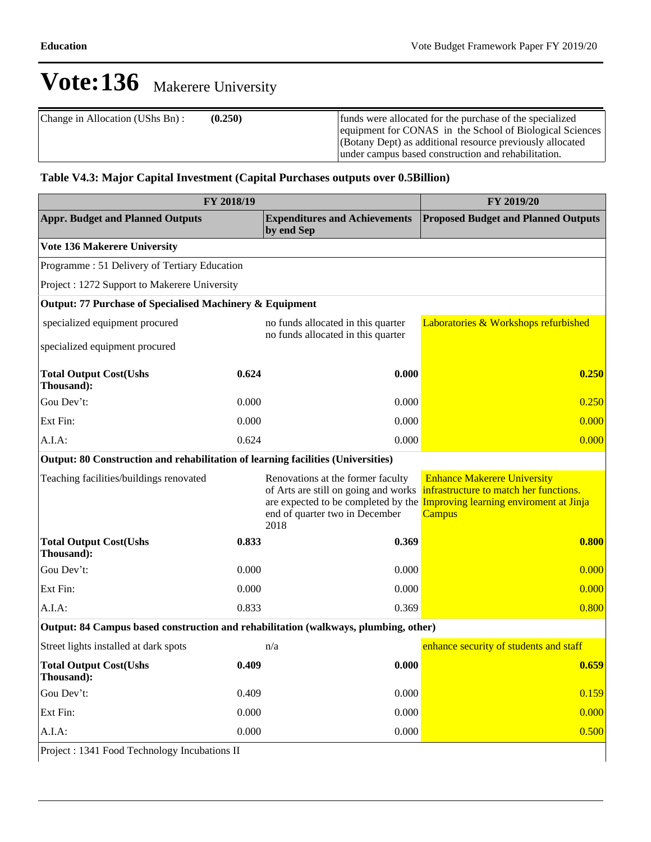| Change in Allocation (UShs Bn): | (0.250) | funds were allocated for the purchase of the specialized<br>equipment for CONAS in the School of Biological Sciences |
|---------------------------------|---------|----------------------------------------------------------------------------------------------------------------------|
|                                 |         | (Botany Dept) as additional resource previously allocated<br>under campus based construction and rehabilitation.     |

### **Table V4.3: Major Capital Investment (Capital Purchases outputs over 0.5Billion)**

| FY 2018/19                                                                          | FY 2019/20 |                                                                                                                                                            |                                                                                                                                         |  |  |  |
|-------------------------------------------------------------------------------------|------------|------------------------------------------------------------------------------------------------------------------------------------------------------------|-----------------------------------------------------------------------------------------------------------------------------------------|--|--|--|
| <b>Appr. Budget and Planned Outputs</b>                                             |            | <b>Expenditures and Achievements</b><br>by end Sep                                                                                                         | <b>Proposed Budget and Planned Outputs</b>                                                                                              |  |  |  |
| Vote 136 Makerere University                                                        |            |                                                                                                                                                            |                                                                                                                                         |  |  |  |
| Programme: 51 Delivery of Tertiary Education                                        |            |                                                                                                                                                            |                                                                                                                                         |  |  |  |
| Project : 1272 Support to Makerere University                                       |            |                                                                                                                                                            |                                                                                                                                         |  |  |  |
| Output: 77 Purchase of Specialised Machinery & Equipment                            |            |                                                                                                                                                            |                                                                                                                                         |  |  |  |
| specialized equipment procured                                                      |            | no funds allocated in this quarter<br>no funds allocated in this quarter                                                                                   | Laboratories & Workshops refurbished                                                                                                    |  |  |  |
| specialized equipment procured                                                      |            |                                                                                                                                                            |                                                                                                                                         |  |  |  |
| <b>Total Output Cost(Ushs</b><br>Thousand):                                         | 0.624      | 0.000                                                                                                                                                      | 0.250                                                                                                                                   |  |  |  |
| Gou Dev't:                                                                          | 0.000      | 0.000                                                                                                                                                      | 0.250                                                                                                                                   |  |  |  |
| Ext Fin:                                                                            | 0.000      | 0.000                                                                                                                                                      | 0.000                                                                                                                                   |  |  |  |
| A.I.A.                                                                              | 0.624      | 0.000                                                                                                                                                      | 0.000                                                                                                                                   |  |  |  |
| Output: 80 Construction and rehabilitation of learning facilities (Universities)    |            |                                                                                                                                                            |                                                                                                                                         |  |  |  |
| Teaching facilities/buildings renovated                                             |            | Renovations at the former faculty<br>of Arts are still on going and works<br>are expected to be completed by the<br>end of quarter two in December<br>2018 | <b>Enhance Makerere University</b><br>infrastructure to match her functions.<br><b>Improving learning enviroment at Jinja</b><br>Campus |  |  |  |
| <b>Total Output Cost(Ushs</b><br>Thousand):                                         | 0.833      | 0.369                                                                                                                                                      | 0.800                                                                                                                                   |  |  |  |
| Gou Dev't:                                                                          | 0.000      | 0.000                                                                                                                                                      | 0.000                                                                                                                                   |  |  |  |
| Ext Fin:                                                                            | 0.000      | 0.000                                                                                                                                                      | 0.000                                                                                                                                   |  |  |  |
| A.I.A.                                                                              | 0.833      | 0.369                                                                                                                                                      | 0.800                                                                                                                                   |  |  |  |
| Output: 84 Campus based construction and rehabilitation (walkways, plumbing, other) |            |                                                                                                                                                            |                                                                                                                                         |  |  |  |
| Street lights installed at dark spots                                               |            | n/a                                                                                                                                                        | enhance security of students and staff                                                                                                  |  |  |  |
| <b>Total Output Cost(Ushs</b><br>Thousand):                                         | 0.409      | 0.000                                                                                                                                                      | 0.659                                                                                                                                   |  |  |  |
| Gou Dev't:                                                                          | 0.409      | 0.000                                                                                                                                                      | 0.159                                                                                                                                   |  |  |  |
| Ext Fin:                                                                            | 0.000      | 0.000                                                                                                                                                      | 0.000                                                                                                                                   |  |  |  |
| A.I.A.                                                                              | 0.000      | 0.000                                                                                                                                                      | 0.500                                                                                                                                   |  |  |  |
| Project: 1341 Food Technology Incubations II                                        |            |                                                                                                                                                            |                                                                                                                                         |  |  |  |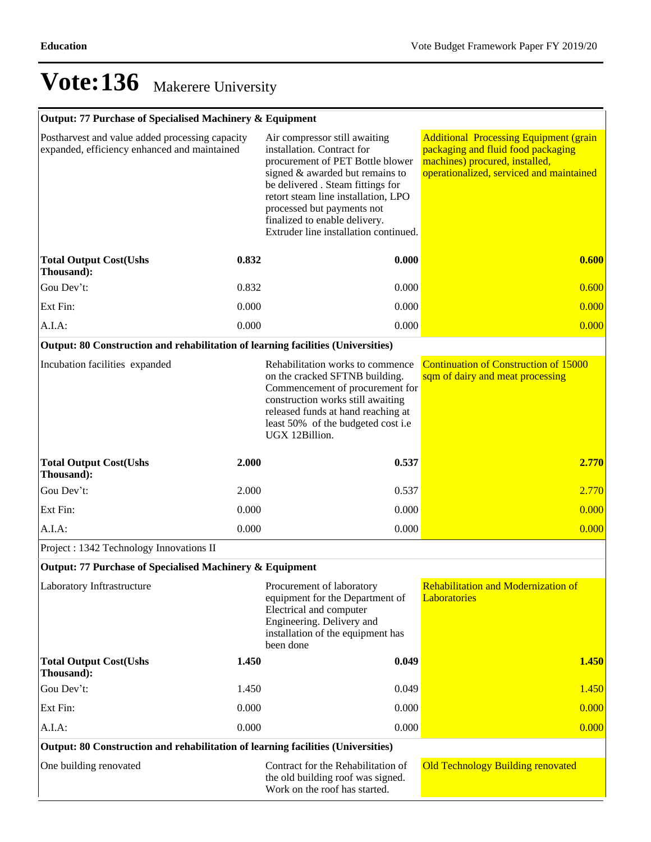### **Output: 77 Purchase of Specialised Machinery & Equipment**

| Postharvest and value added processing capacity<br>expanded, efficiency enhanced and maintained |                                                                                                                                                                        | Air compressor still awaiting<br>installation. Contract for<br>procurement of PET Bottle blower<br>signed $&$ awarded but remains to<br>be delivered . Steam fittings for<br>retort steam line installation, LPO<br>processed but payments not<br>finalized to enable delivery.<br>Extruder line installation continued. | <b>Additional Processing Equipment (grain</b><br>packaging and fluid food packaging<br>machines) procured, installed,<br>operationalized, serviced and maintained |
|-------------------------------------------------------------------------------------------------|------------------------------------------------------------------------------------------------------------------------------------------------------------------------|--------------------------------------------------------------------------------------------------------------------------------------------------------------------------------------------------------------------------------------------------------------------------------------------------------------------------|-------------------------------------------------------------------------------------------------------------------------------------------------------------------|
| <b>Total Output Cost(Ushs</b><br>Thousand):                                                     | 0.832                                                                                                                                                                  | 0.000                                                                                                                                                                                                                                                                                                                    | 0.600                                                                                                                                                             |
| Gou Dev't:                                                                                      | 0.832                                                                                                                                                                  | 0.000                                                                                                                                                                                                                                                                                                                    | 0.600                                                                                                                                                             |
| Ext Fin:                                                                                        | 0.000                                                                                                                                                                  | 0.000                                                                                                                                                                                                                                                                                                                    | 0.000                                                                                                                                                             |
| A.I.A:                                                                                          | 0.000                                                                                                                                                                  | 0.000                                                                                                                                                                                                                                                                                                                    | 0.000                                                                                                                                                             |
| Output: 80 Construction and rehabilitation of learning facilities (Universities)                |                                                                                                                                                                        |                                                                                                                                                                                                                                                                                                                          |                                                                                                                                                                   |
| Incubation facilities expanded                                                                  |                                                                                                                                                                        | Rehabilitation works to commence<br>on the cracked SFTNB building.<br>Commencement of procurement for<br>construction works still awaiting<br>released funds at hand reaching at<br>least 50% of the budgeted cost i.e<br>UGX 12Billion.                                                                                 | <b>Continuation of Construction of 15000</b><br>sqm of dairy and meat processing                                                                                  |
| <b>Total Output Cost(Ushs</b><br>Thousand):                                                     | 2.000                                                                                                                                                                  | 0.537                                                                                                                                                                                                                                                                                                                    | 2.770                                                                                                                                                             |
| Gou Dev't:                                                                                      | 2.000                                                                                                                                                                  | 0.537                                                                                                                                                                                                                                                                                                                    | 2.770                                                                                                                                                             |
| Ext Fin:                                                                                        | 0.000                                                                                                                                                                  | 0.000                                                                                                                                                                                                                                                                                                                    | 0.000                                                                                                                                                             |
| A.I.A:                                                                                          | 0.000                                                                                                                                                                  | 0.000                                                                                                                                                                                                                                                                                                                    | 0.000                                                                                                                                                             |
| Project: 1342 Technology Innovations II                                                         |                                                                                                                                                                        |                                                                                                                                                                                                                                                                                                                          |                                                                                                                                                                   |
| Output: 77 Purchase of Specialised Machinery & Equipment                                        |                                                                                                                                                                        |                                                                                                                                                                                                                                                                                                                          |                                                                                                                                                                   |
| Laboratory Inftrastructure                                                                      | Procurement of laboratory<br>equipment for the Department of<br>Electrical and computer<br>Engineering. Delivery and<br>installation of the equipment has<br>been done |                                                                                                                                                                                                                                                                                                                          | <b>Rehabilitation and Modernization of</b><br>Laboratories                                                                                                        |
| <b>Total Output Cost(Ushs</b><br>Thousand):                                                     | 1.450                                                                                                                                                                  | 0.049                                                                                                                                                                                                                                                                                                                    | 1.450                                                                                                                                                             |
| Gou Dev't:                                                                                      | 1.450                                                                                                                                                                  | 0.049                                                                                                                                                                                                                                                                                                                    | 1.450                                                                                                                                                             |
| Ext Fin:                                                                                        | 0.000                                                                                                                                                                  | 0.000                                                                                                                                                                                                                                                                                                                    | 0.000                                                                                                                                                             |
| A.I.A:                                                                                          | 0.000                                                                                                                                                                  | 0.000                                                                                                                                                                                                                                                                                                                    | 0.000                                                                                                                                                             |
| Output: 80 Construction and rehabilitation of learning facilities (Universities)                |                                                                                                                                                                        |                                                                                                                                                                                                                                                                                                                          |                                                                                                                                                                   |
| One building renovated                                                                          |                                                                                                                                                                        | Contract for the Rehabilitation of<br>the old building roof was signed.<br>Work on the roof has started.                                                                                                                                                                                                                 | <b>Old Technology Building renovated</b>                                                                                                                          |